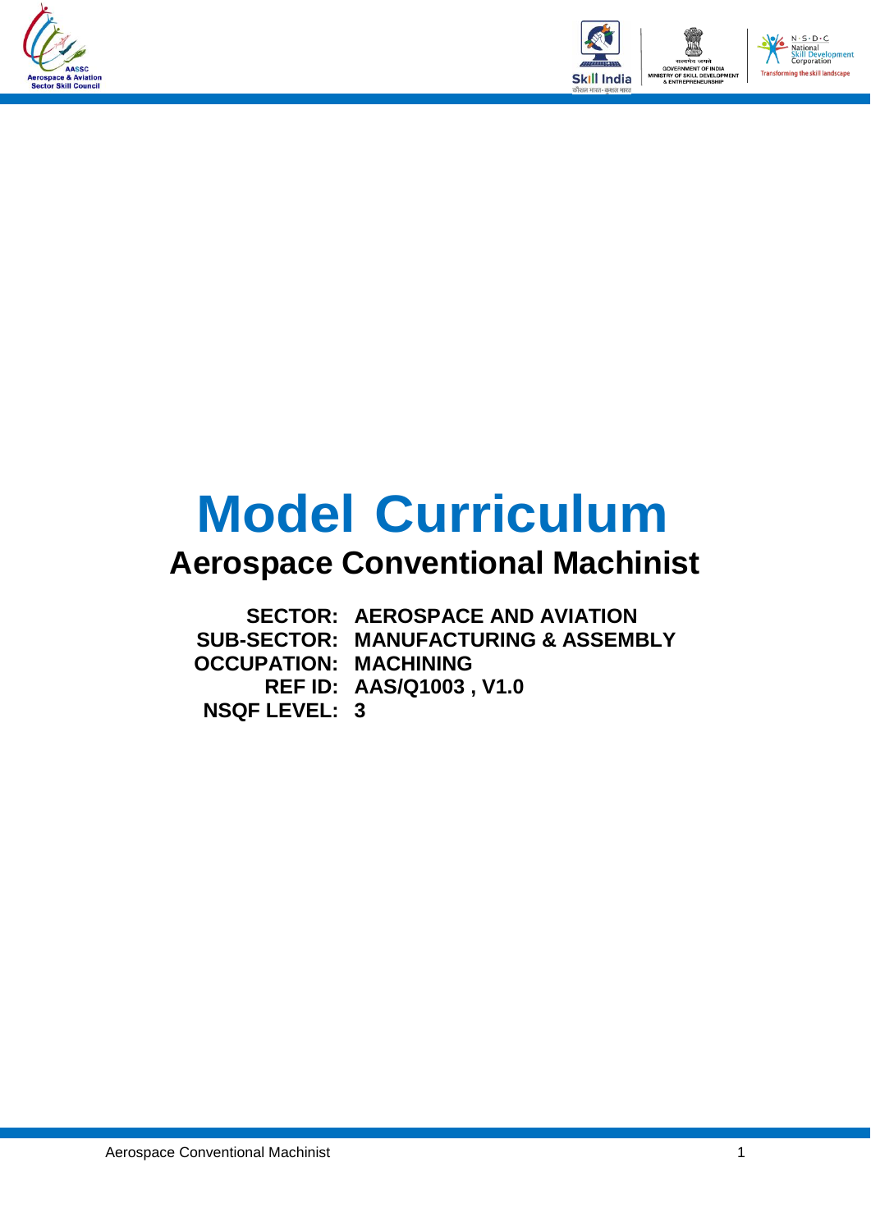



# **Model Curriculum**

### **Aerospace Conventional Machinist**

**SECTOR: AEROSPACE AND AVIATION SUB-SECTOR: MANUFACTURING & ASSEMBLY OCCUPATION: MACHINING REF ID: AAS/Q1003 , V1.0 NSQF LEVEL: 3**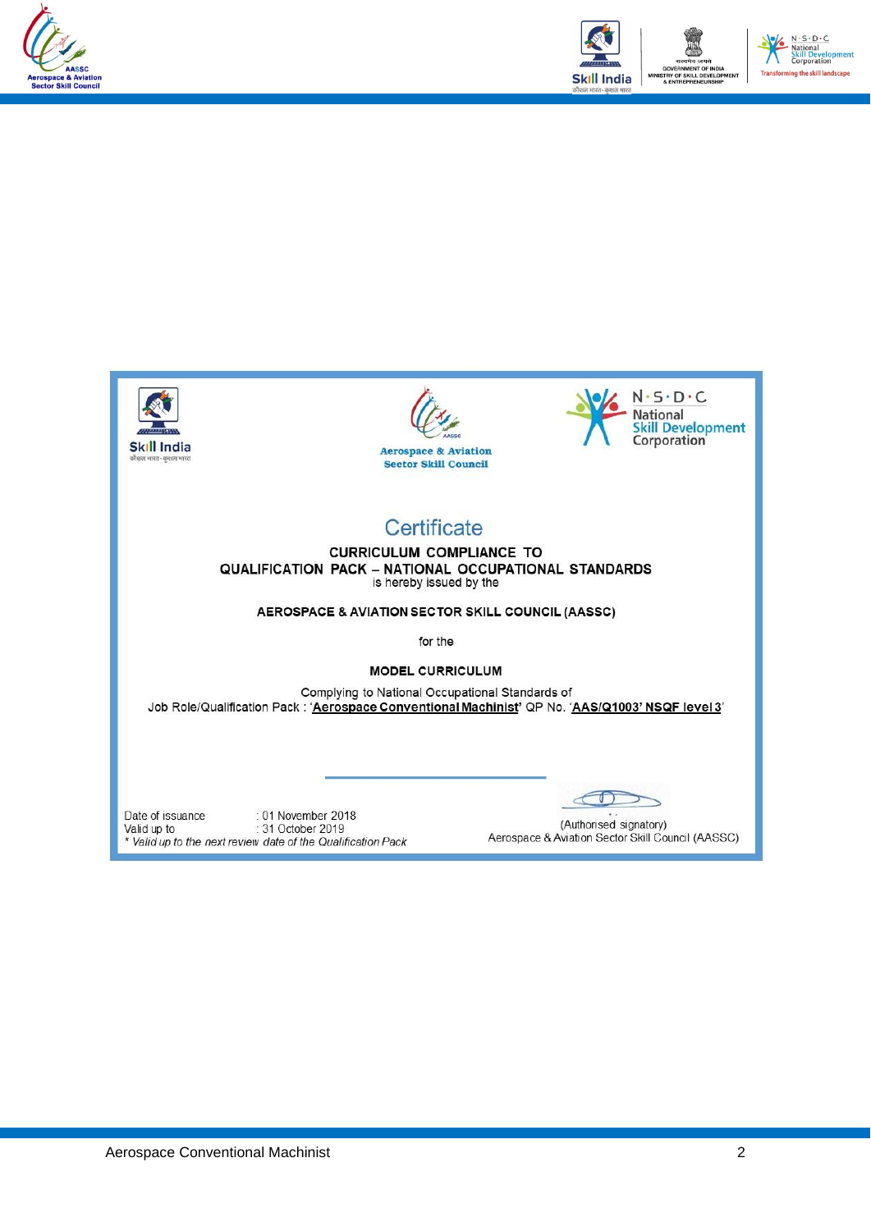



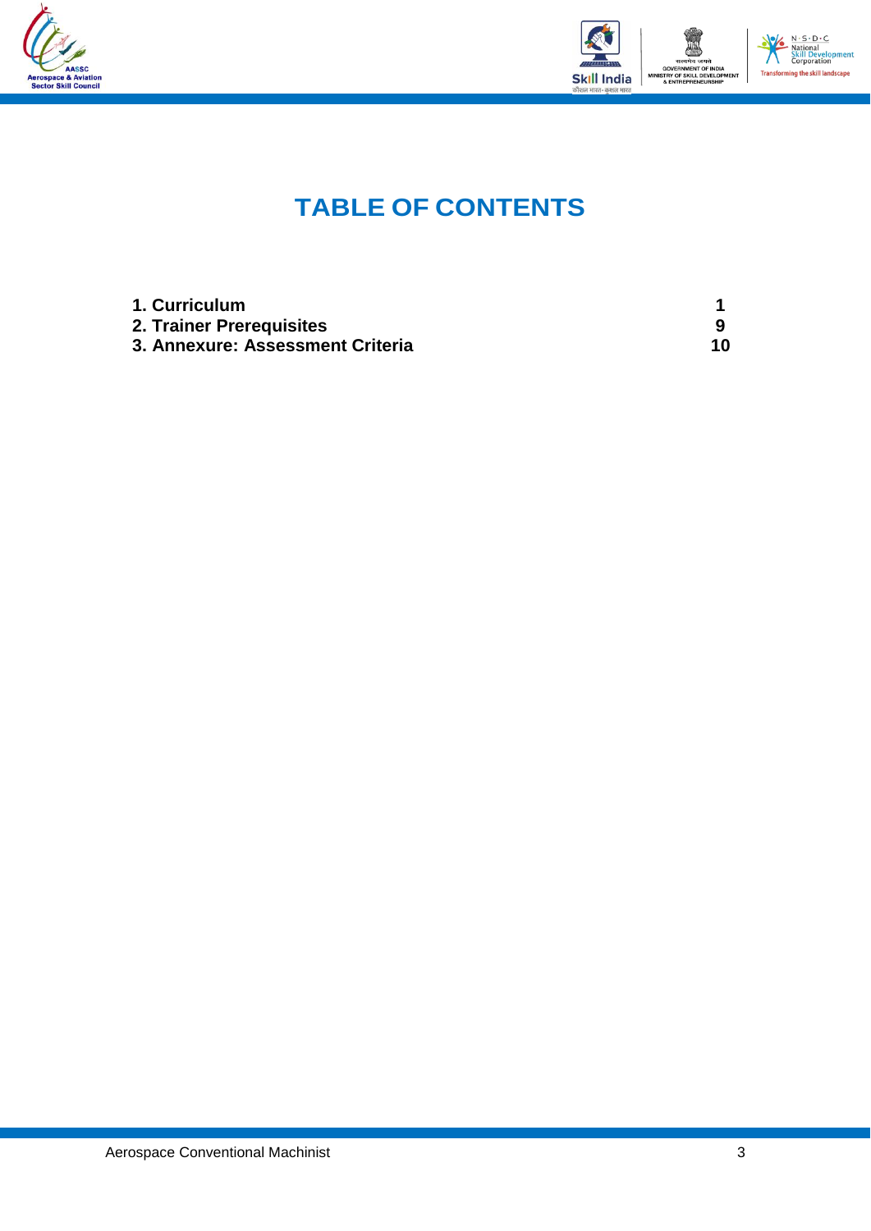



### **TABLE OF CONTENTS**

| 1. Curriculum                    |    |
|----------------------------------|----|
| 2. Trainer Prerequisites         |    |
| 3. Annexure: Assessment Criteria | 10 |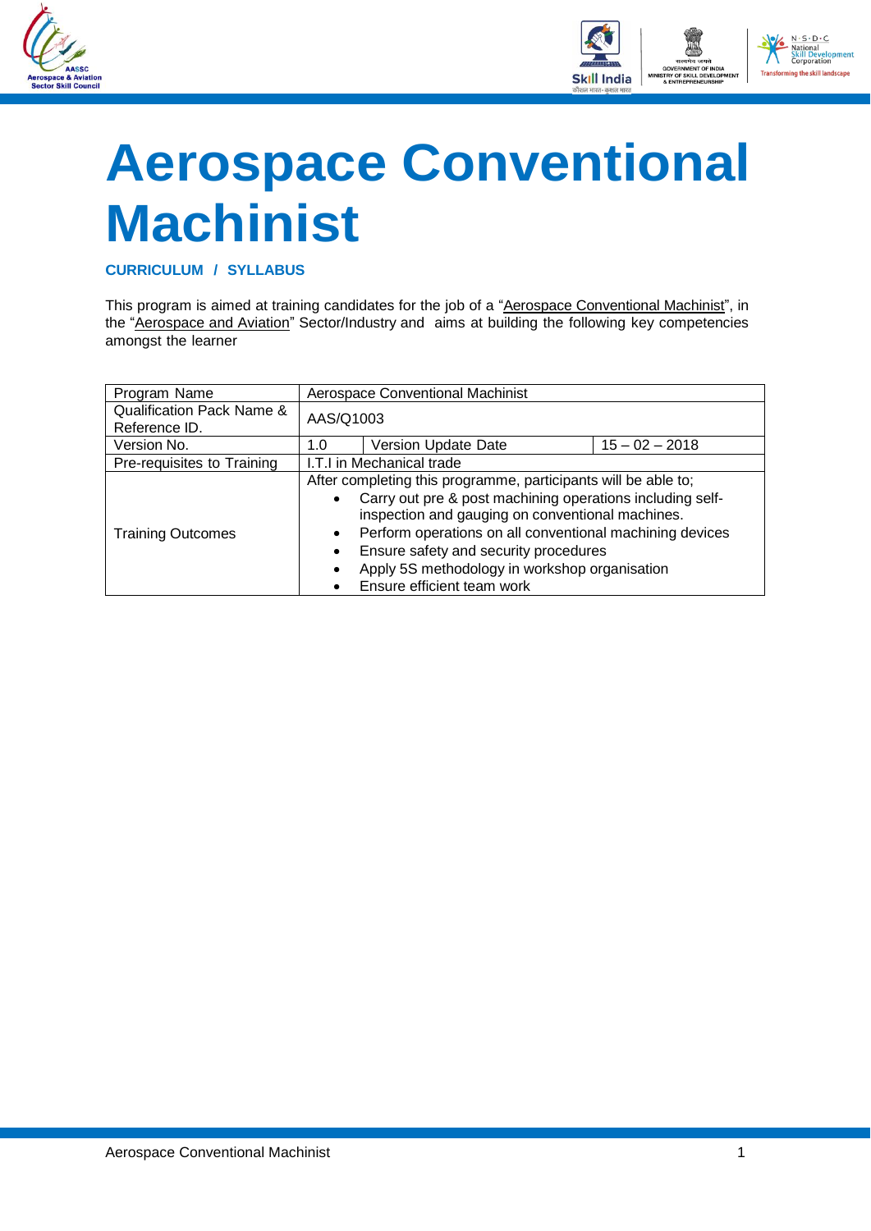



## <span id="page-3-0"></span>**Aerospace Conventional Machinist**

**CURRICULUM / SYLLABUS**

This program is aimed at training candidates for the job of a "Aerospace Conventional Machinist", in the "Aerospace and Aviation" Sector/Industry and aims at building the following key competencies amongst the learner

| Program Name                                          |                           | Aerospace Conventional Machinist                                                                                                                                                                                                                                                                                                                                    |  |  |  |
|-------------------------------------------------------|---------------------------|---------------------------------------------------------------------------------------------------------------------------------------------------------------------------------------------------------------------------------------------------------------------------------------------------------------------------------------------------------------------|--|--|--|
| <b>Qualification Pack Name &amp;</b><br>Reference ID. | AAS/Q1003                 |                                                                                                                                                                                                                                                                                                                                                                     |  |  |  |
| Version No.                                           | 1.0                       | Version Update Date<br>$15 - 02 - 2018$                                                                                                                                                                                                                                                                                                                             |  |  |  |
| Pre-requisites to Training                            | I.T.I in Mechanical trade |                                                                                                                                                                                                                                                                                                                                                                     |  |  |  |
| <b>Training Outcomes</b>                              | ٠<br>٠                    | After completing this programme, participants will be able to;<br>Carry out pre & post machining operations including self-<br>inspection and gauging on conventional machines.<br>Perform operations on all conventional machining devices<br>Ensure safety and security procedures<br>Apply 5S methodology in workshop organisation<br>Ensure efficient team work |  |  |  |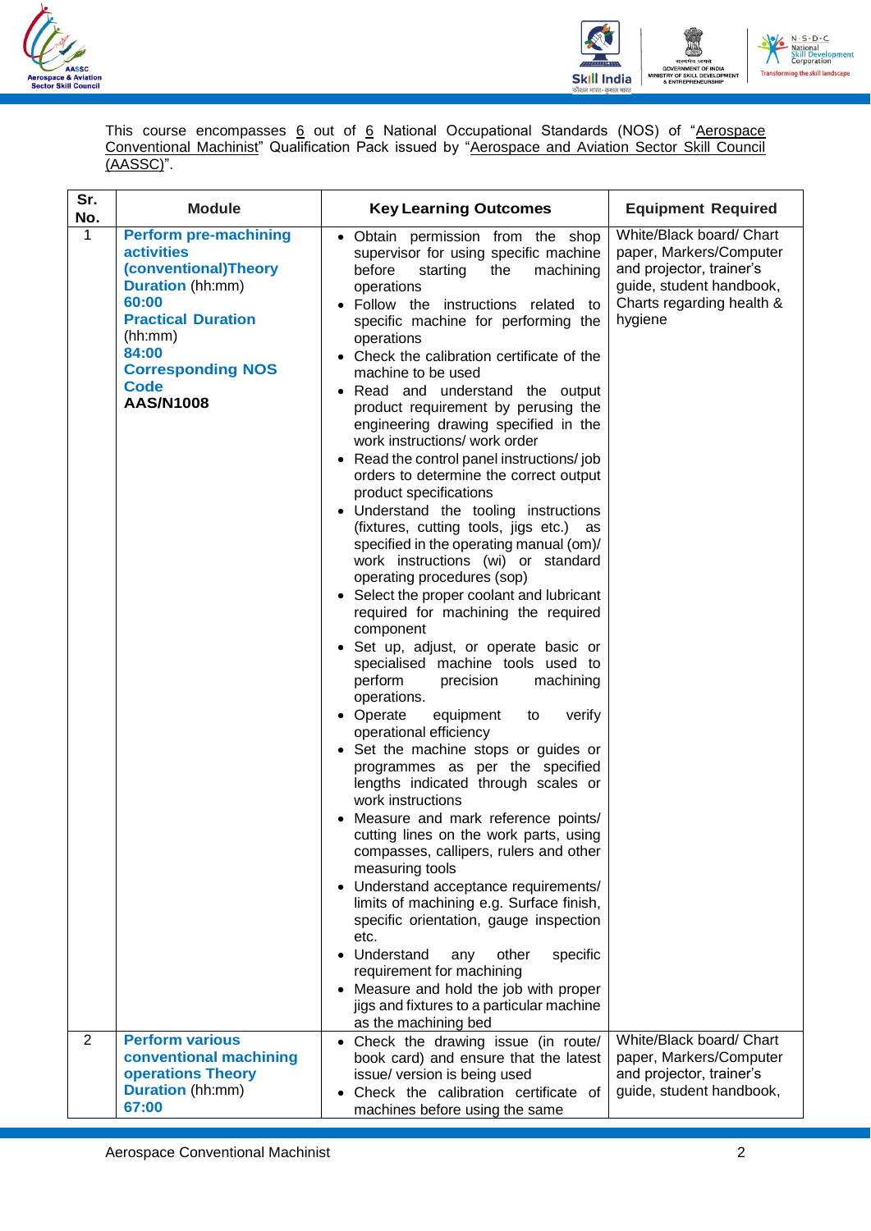



This course encompasses 6 out of 6 National Occupational Standards (NOS) of "Aerospace Conventional Machinist" Qualification Pack issued by "Aerospace and Aviation Sector Skill Council (AASSC)".

| Sr.<br>No. | <b>Module</b>                                                                                                                                                                                                                 | <b>Key Learning Outcomes</b>                                                                                                                                                                                                                                                                                                                                                                                                                                                                                                                                                                                                                                                                                                                                                                                                                                                                                                                                                                                                                                                                                                                                                                                                                                                                                                                                                                                                                                                                                                                                                                                                                                                                    | <b>Equipment Required</b>                                                                                                                           |
|------------|-------------------------------------------------------------------------------------------------------------------------------------------------------------------------------------------------------------------------------|-------------------------------------------------------------------------------------------------------------------------------------------------------------------------------------------------------------------------------------------------------------------------------------------------------------------------------------------------------------------------------------------------------------------------------------------------------------------------------------------------------------------------------------------------------------------------------------------------------------------------------------------------------------------------------------------------------------------------------------------------------------------------------------------------------------------------------------------------------------------------------------------------------------------------------------------------------------------------------------------------------------------------------------------------------------------------------------------------------------------------------------------------------------------------------------------------------------------------------------------------------------------------------------------------------------------------------------------------------------------------------------------------------------------------------------------------------------------------------------------------------------------------------------------------------------------------------------------------------------------------------------------------------------------------------------------------|-----------------------------------------------------------------------------------------------------------------------------------------------------|
| 1          | <b>Perform pre-machining</b><br><b>activities</b><br>(conventional)Theory<br><b>Duration</b> (hh:mm)<br>60:00<br><b>Practical Duration</b><br>(hh:mm)<br>84:00<br><b>Corresponding NOS</b><br><b>Code</b><br><b>AAS/N1008</b> | • Obtain permission from the shop<br>supervisor for using specific machine<br>before<br>starting<br>the<br>machining<br>operations<br>· Follow the instructions related to<br>specific machine for performing the<br>operations<br>• Check the calibration certificate of the<br>machine to be used<br>• Read and understand the output<br>product requirement by perusing the<br>engineering drawing specified in the<br>work instructions/ work order<br>• Read the control panel instructions/job<br>orders to determine the correct output<br>product specifications<br>• Understand the tooling instructions<br>(fixtures, cutting tools, jigs etc.) as<br>specified in the operating manual (om)/<br>work instructions (wi) or standard<br>operating procedures (sop)<br>• Select the proper coolant and lubricant<br>required for machining the required<br>component<br>· Set up, adjust, or operate basic or<br>specialised machine tools used to<br>perform<br>precision<br>machining<br>operations.<br>• Operate<br>equipment<br>verify<br>to<br>operational efficiency<br>• Set the machine stops or guides or<br>programmes as per the specified<br>lengths indicated through scales or<br>work instructions<br>Measure and mark reference points/<br>cutting lines on the work parts, using<br>compasses, callipers, rulers and other<br>measuring tools<br>Understand acceptance requirements/<br>limits of machining e.g. Surface finish,<br>specific orientation, gauge inspection<br>etc.<br>Understand<br>other<br>specific<br>any<br>requirement for machining<br>Measure and hold the job with proper<br>jigs and fixtures to a particular machine<br>as the machining bed | White/Black board/ Chart<br>paper, Markers/Computer<br>and projector, trainer's<br>guide, student handbook,<br>Charts regarding health &<br>hygiene |
| 2          | <b>Perform various</b><br>conventional machining                                                                                                                                                                              | Check the drawing issue (in route/<br>book card) and ensure that the latest                                                                                                                                                                                                                                                                                                                                                                                                                                                                                                                                                                                                                                                                                                                                                                                                                                                                                                                                                                                                                                                                                                                                                                                                                                                                                                                                                                                                                                                                                                                                                                                                                     | White/Black board/ Chart<br>paper, Markers/Computer                                                                                                 |
|            | operations Theory<br><b>Duration</b> (hh:mm)<br>67:00                                                                                                                                                                         | issue/ version is being used<br>Check the calibration certificate of<br>machines before using the same                                                                                                                                                                                                                                                                                                                                                                                                                                                                                                                                                                                                                                                                                                                                                                                                                                                                                                                                                                                                                                                                                                                                                                                                                                                                                                                                                                                                                                                                                                                                                                                          | and projector, trainer's<br>guide, student handbook,                                                                                                |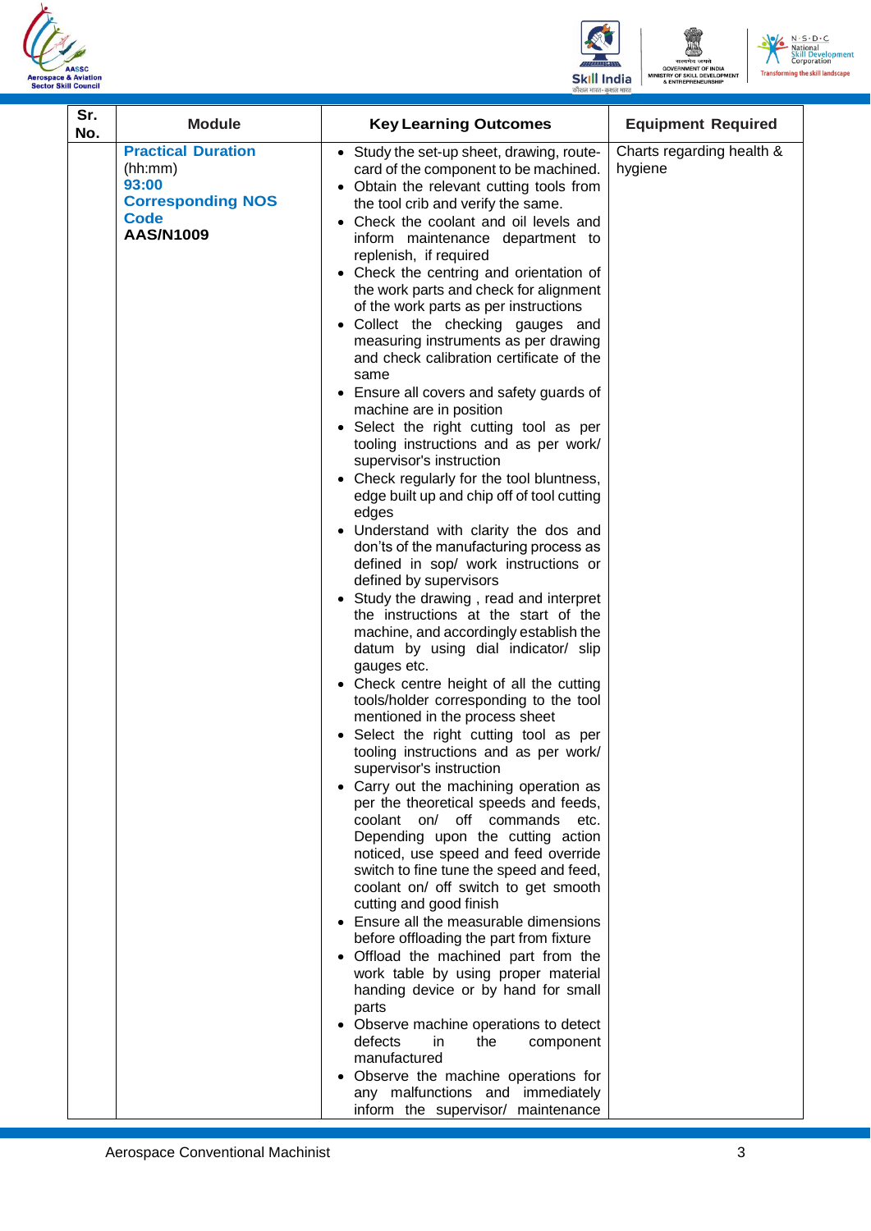





| <b>Practical Duration</b><br>Charts regarding health &<br>• Study the set-up sheet, drawing, route-<br>(hh:mm)<br>hygiene<br>card of the component to be machined.<br>93:00<br>• Obtain the relevant cutting tools from<br><b>Corresponding NOS</b><br>the tool crib and verify the same.<br><b>Code</b><br>• Check the coolant and oil levels and<br>AAS/N1009<br>inform maintenance department to<br>replenish, if required<br>• Check the centring and orientation of<br>the work parts and check for alignment<br>of the work parts as per instructions<br>• Collect the checking gauges and<br>measuring instruments as per drawing<br>and check calibration certificate of the<br>same<br>• Ensure all covers and safety guards of<br>machine are in position<br>• Select the right cutting tool as per<br>tooling instructions and as per work/<br>supervisor's instruction<br>• Check regularly for the tool bluntness,<br>edge built up and chip off of tool cutting<br>edges<br>• Understand with clarity the dos and<br>don'ts of the manufacturing process as<br>defined in sop/ work instructions or<br>defined by supervisors<br>• Study the drawing, read and interpret<br>the instructions at the start of the<br>machine, and accordingly establish the<br>datum by using dial indicator/ slip |
|-----------------------------------------------------------------------------------------------------------------------------------------------------------------------------------------------------------------------------------------------------------------------------------------------------------------------------------------------------------------------------------------------------------------------------------------------------------------------------------------------------------------------------------------------------------------------------------------------------------------------------------------------------------------------------------------------------------------------------------------------------------------------------------------------------------------------------------------------------------------------------------------------------------------------------------------------------------------------------------------------------------------------------------------------------------------------------------------------------------------------------------------------------------------------------------------------------------------------------------------------------------------------------------------------------------------|
| gauges etc.<br>• Check centre height of all the cutting<br>tools/holder corresponding to the tool<br>mentioned in the process sheet<br>Select the right cutting tool as per<br>tooling instructions and as per work/<br>supervisor's instruction<br>• Carry out the machining operation as<br>per the theoretical speeds and feeds,<br>coolant on/<br>off commands<br>etc.<br>Depending upon the cutting action<br>noticed, use speed and feed override<br>switch to fine tune the speed and feed,<br>coolant on/ off switch to get smooth<br>cutting and good finish<br>• Ensure all the measurable dimensions<br>before offloading the part from fixture<br>• Offload the machined part from the<br>work table by using proper material<br>handing device or by hand for small<br>parts<br>• Observe machine operations to detect<br>defects<br>in.<br>the<br>component                                                                                                                                                                                                                                                                                                                                                                                                                                       |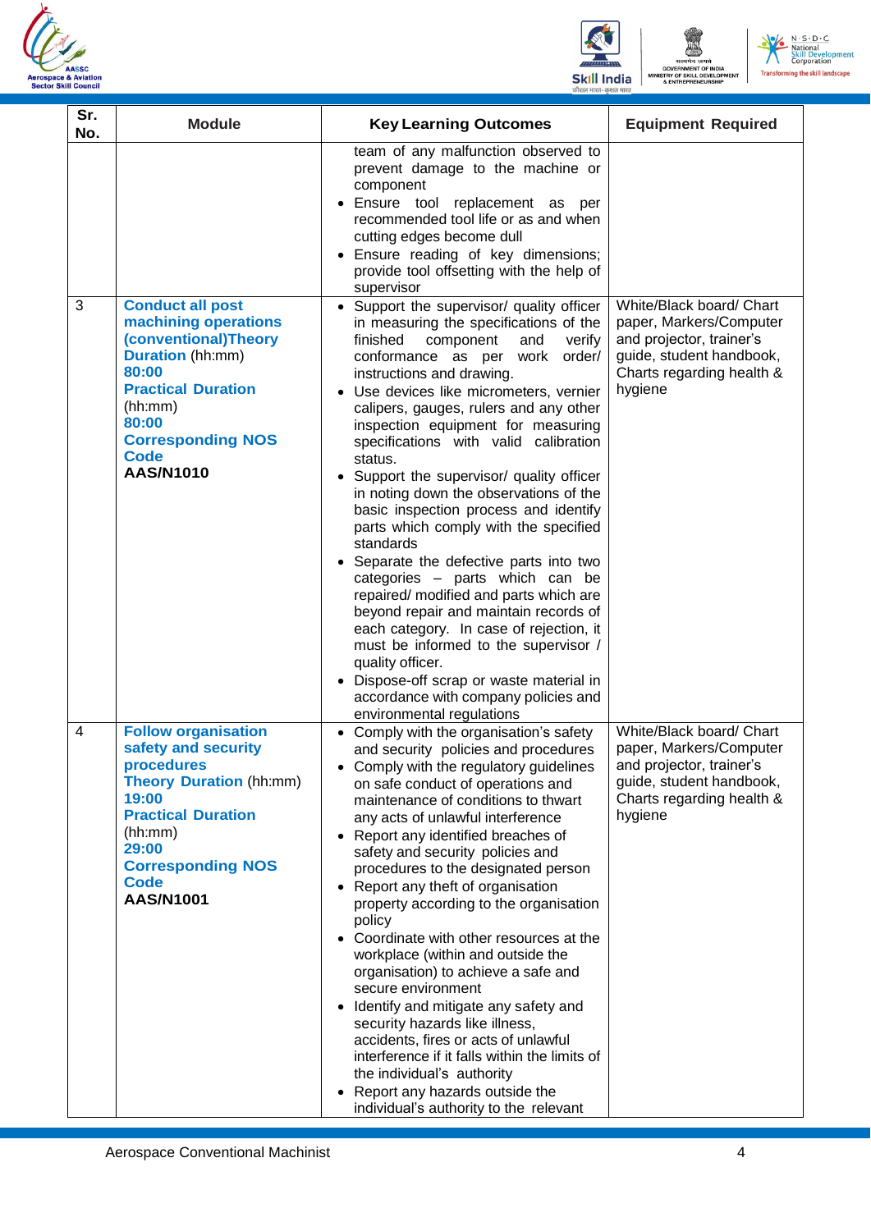





| Sr.<br>No. | <b>Module</b>                                                                                                                                                                                                               | <b>Key Learning Outcomes</b>                                                                                                                                                                                                                                                                                                                                                                                                                                                                                                                                                                                                                                                                                                                                                                                                                                                                                                                          | <b>Equipment Required</b>                                                                                                                           |
|------------|-----------------------------------------------------------------------------------------------------------------------------------------------------------------------------------------------------------------------------|-------------------------------------------------------------------------------------------------------------------------------------------------------------------------------------------------------------------------------------------------------------------------------------------------------------------------------------------------------------------------------------------------------------------------------------------------------------------------------------------------------------------------------------------------------------------------------------------------------------------------------------------------------------------------------------------------------------------------------------------------------------------------------------------------------------------------------------------------------------------------------------------------------------------------------------------------------|-----------------------------------------------------------------------------------------------------------------------------------------------------|
|            |                                                                                                                                                                                                                             | team of any malfunction observed to<br>prevent damage to the machine or<br>component<br>Ensure tool replacement as per<br>recommended tool life or as and when<br>cutting edges become dull<br>Ensure reading of key dimensions;<br>provide tool offsetting with the help of<br>supervisor                                                                                                                                                                                                                                                                                                                                                                                                                                                                                                                                                                                                                                                            |                                                                                                                                                     |
| 3          | <b>Conduct all post</b><br>machining operations<br>(conventional)Theory<br><b>Duration</b> (hh:mm)<br>80:00<br><b>Practical Duration</b><br>(hh:mm)<br>80:00<br><b>Corresponding NOS</b><br><b>Code</b><br><b>AAS/N1010</b> | • Support the supervisor/ quality officer<br>in measuring the specifications of the<br>finished<br>component<br>and<br>verify<br>order/<br>conformance as per work<br>instructions and drawing.<br>Use devices like micrometers, vernier<br>calipers, gauges, rulers and any other<br>inspection equipment for measuring<br>specifications with valid calibration<br>status.<br>Support the supervisor/ quality officer<br>in noting down the observations of the<br>basic inspection process and identify<br>parts which comply with the specified<br>standards<br>Separate the defective parts into two<br>categories - parts which can be<br>repaired/ modified and parts which are<br>beyond repair and maintain records of<br>each category. In case of rejection, it<br>must be informed to the supervisor /<br>quality officer.<br>Dispose-off scrap or waste material in<br>accordance with company policies and<br>environmental regulations | White/Black board/ Chart<br>paper, Markers/Computer<br>and projector, trainer's<br>guide, student handbook,<br>Charts regarding health &<br>hygiene |
| 4          | <b>Follow organisation</b><br>safety and security<br>procedures<br><b>Theory Duration (hh:mm)</b><br>19:00<br><b>Practical Duration</b><br>(hh:mm)<br>29:00<br><b>Corresponding NOS</b><br><b>Code</b><br><b>AAS/N1001</b>  | Comply with the organisation's safety<br>and security policies and procedures<br>Comply with the regulatory guidelines<br>on safe conduct of operations and<br>maintenance of conditions to thwart<br>any acts of unlawful interference<br>• Report any identified breaches of<br>safety and security policies and<br>procedures to the designated person<br>• Report any theft of organisation<br>property according to the organisation<br>policy<br>• Coordinate with other resources at the<br>workplace (within and outside the<br>organisation) to achieve a safe and<br>secure environment<br>• Identify and mitigate any safety and<br>security hazards like illness,<br>accidents, fires or acts of unlawful<br>interference if it falls within the limits of<br>the individual's authority<br>Report any hazards outside the<br>individual's authority to the relevant                                                                      | White/Black board/ Chart<br>paper, Markers/Computer<br>and projector, trainer's<br>guide, student handbook,<br>Charts regarding health &<br>hygiene |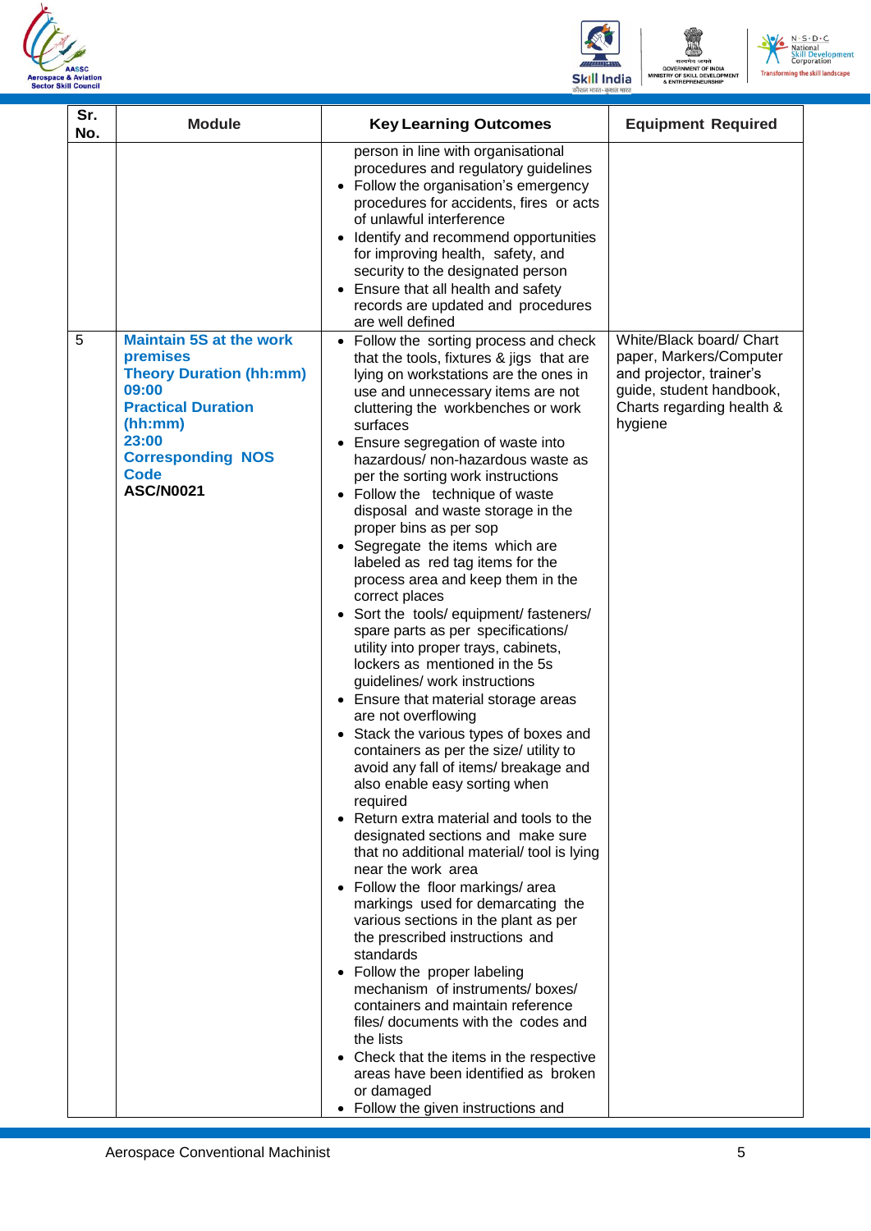





| Sr.<br>No. | <b>Module</b>                                                                                                                                                                                         | <b>Key Learning Outcomes</b>                                                                                                                                                                                                                                                                                                                                                                                                                                                                                                                                                                                                                                                                                                                                                                                                                                                                                                                                                                                                                                                                                                                                                                                                                                                                                                                                                                                                                                                                                                                                                                                                                             | <b>Equipment Required</b>                                                                                                                           |
|------------|-------------------------------------------------------------------------------------------------------------------------------------------------------------------------------------------------------|----------------------------------------------------------------------------------------------------------------------------------------------------------------------------------------------------------------------------------------------------------------------------------------------------------------------------------------------------------------------------------------------------------------------------------------------------------------------------------------------------------------------------------------------------------------------------------------------------------------------------------------------------------------------------------------------------------------------------------------------------------------------------------------------------------------------------------------------------------------------------------------------------------------------------------------------------------------------------------------------------------------------------------------------------------------------------------------------------------------------------------------------------------------------------------------------------------------------------------------------------------------------------------------------------------------------------------------------------------------------------------------------------------------------------------------------------------------------------------------------------------------------------------------------------------------------------------------------------------------------------------------------------------|-----------------------------------------------------------------------------------------------------------------------------------------------------|
|            |                                                                                                                                                                                                       | person in line with organisational<br>procedures and regulatory guidelines<br>• Follow the organisation's emergency<br>procedures for accidents, fires or acts<br>of unlawful interference<br>Identify and recommend opportunities<br>$\bullet$<br>for improving health, safety, and<br>security to the designated person<br>Ensure that all health and safety<br>records are updated and procedures<br>are well defined                                                                                                                                                                                                                                                                                                                                                                                                                                                                                                                                                                                                                                                                                                                                                                                                                                                                                                                                                                                                                                                                                                                                                                                                                                 |                                                                                                                                                     |
| 5          | <b>Maintain 5S at the work</b><br>premises<br><b>Theory Duration (hh:mm)</b><br>09:00<br><b>Practical Duration</b><br>(hh:mm)<br>23:00<br><b>Corresponding NOS</b><br><b>Code</b><br><b>ASC/N0021</b> | Follow the sorting process and check<br>$\bullet$<br>that the tools, fixtures & jigs that are<br>lying on workstations are the ones in<br>use and unnecessary items are not<br>cluttering the workbenches or work<br>surfaces<br>Ensure segregation of waste into<br>$\bullet$<br>hazardous/ non-hazardous waste as<br>per the sorting work instructions<br>• Follow the technique of waste<br>disposal and waste storage in the<br>proper bins as per sop<br>• Segregate the items which are<br>labeled as red tag items for the<br>process area and keep them in the<br>correct places<br>• Sort the tools/ equipment/ fasteners/<br>spare parts as per specifications/<br>utility into proper trays, cabinets,<br>lockers as mentioned in the 5s<br>guidelines/ work instructions<br>• Ensure that material storage areas<br>are not overflowing<br>• Stack the various types of boxes and<br>containers as per the size/ utility to<br>avoid any fall of items/ breakage and<br>also enable easy sorting when<br>required<br>• Return extra material and tools to the<br>designated sections and make sure<br>that no additional material/ tool is lying<br>near the work area<br>• Follow the floor markings/area<br>markings used for demarcating the<br>various sections in the plant as per<br>the prescribed instructions and<br>standards<br>• Follow the proper labeling<br>mechanism of instruments/boxes/<br>containers and maintain reference<br>files/ documents with the codes and<br>the lists<br>• Check that the items in the respective<br>areas have been identified as broken<br>or damaged<br>• Follow the given instructions and | White/Black board/ Chart<br>paper, Markers/Computer<br>and projector, trainer's<br>guide, student handbook,<br>Charts regarding health &<br>hygiene |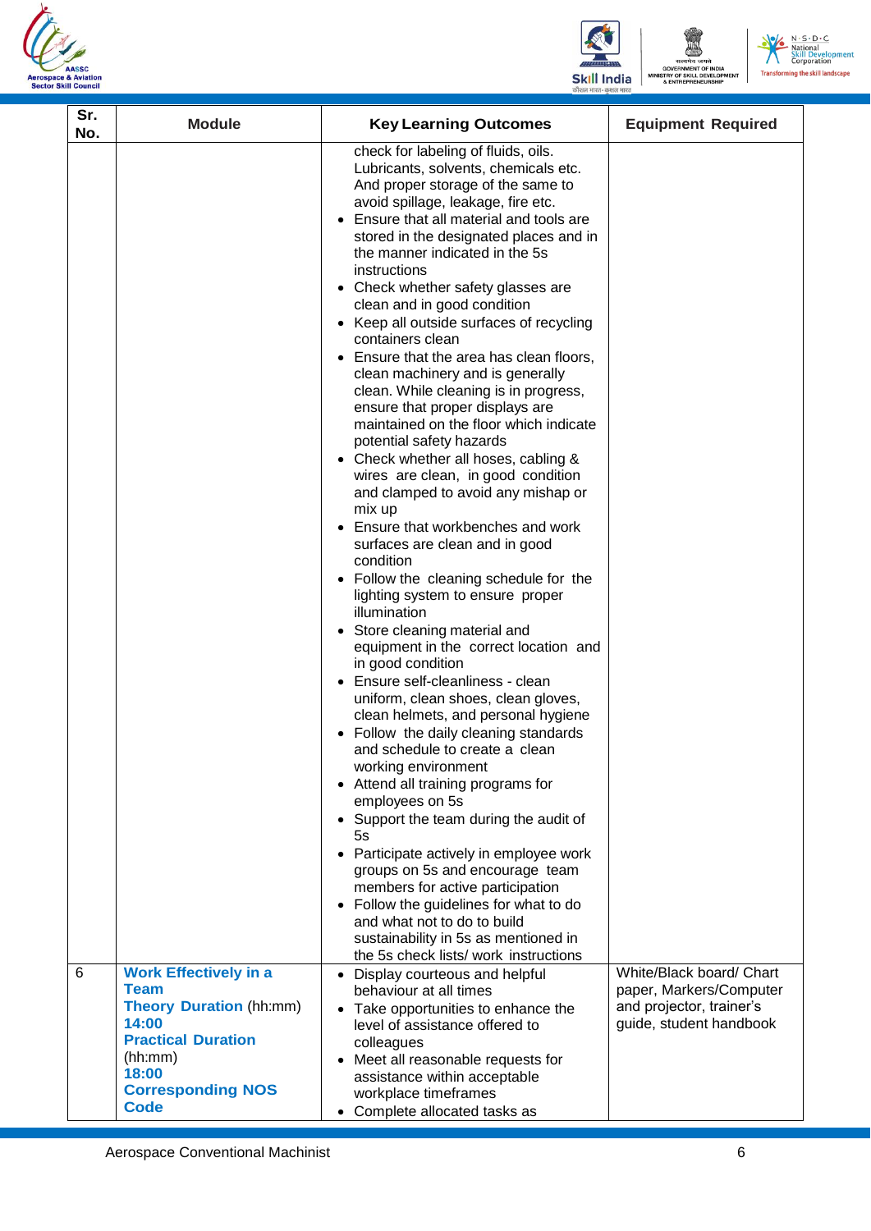





| Sr.<br>No. | <b>Module</b>                                                                                                                                                                      | <b>Key Learning Outcomes</b>                                                                                                                                                                                                                                                                                                                                                                                                                                                                                                                                                                                                                                                                                                                                                                                                                                                                                                                                                                                                                                                                                                                                                                                                                                                                                                                                                                                                                                                                                                                                                                                                                                                              | <b>Equipment Required</b>                                                                                  |
|------------|------------------------------------------------------------------------------------------------------------------------------------------------------------------------------------|-------------------------------------------------------------------------------------------------------------------------------------------------------------------------------------------------------------------------------------------------------------------------------------------------------------------------------------------------------------------------------------------------------------------------------------------------------------------------------------------------------------------------------------------------------------------------------------------------------------------------------------------------------------------------------------------------------------------------------------------------------------------------------------------------------------------------------------------------------------------------------------------------------------------------------------------------------------------------------------------------------------------------------------------------------------------------------------------------------------------------------------------------------------------------------------------------------------------------------------------------------------------------------------------------------------------------------------------------------------------------------------------------------------------------------------------------------------------------------------------------------------------------------------------------------------------------------------------------------------------------------------------------------------------------------------------|------------------------------------------------------------------------------------------------------------|
|            |                                                                                                                                                                                    | check for labeling of fluids, oils.<br>Lubricants, solvents, chemicals etc.<br>And proper storage of the same to<br>avoid spillage, leakage, fire etc.<br>Ensure that all material and tools are<br>stored in the designated places and in<br>the manner indicated in the 5s<br>instructions<br>• Check whether safety glasses are<br>clean and in good condition<br>• Keep all outside surfaces of recycling<br>containers clean<br>• Ensure that the area has clean floors,<br>clean machinery and is generally<br>clean. While cleaning is in progress,<br>ensure that proper displays are<br>maintained on the floor which indicate<br>potential safety hazards<br>• Check whether all hoses, cabling &<br>wires are clean, in good condition<br>and clamped to avoid any mishap or<br>mix up<br>• Ensure that workbenches and work<br>surfaces are clean and in good<br>condition<br>• Follow the cleaning schedule for the<br>lighting system to ensure proper<br>illumination<br>• Store cleaning material and<br>equipment in the correct location and<br>in good condition<br>Ensure self-cleanliness - clean<br>uniform, clean shoes, clean gloves,<br>clean helmets, and personal hygiene<br>Follow the daily cleaning standards<br>and schedule to create a clean<br>working environment<br>• Attend all training programs for<br>employees on 5s<br>• Support the team during the audit of<br>5s<br>• Participate actively in employee work<br>groups on 5s and encourage team<br>members for active participation<br>• Follow the guidelines for what to do<br>and what not to do to build<br>sustainability in 5s as mentioned in<br>the 5s check lists/ work instructions |                                                                                                            |
| 6          | <b>Work Effectively in a</b><br><b>Team</b><br><b>Theory Duration (hh:mm)</b><br>14:00<br><b>Practical Duration</b><br>(hh:mm)<br>18:00<br><b>Corresponding NOS</b><br><b>Code</b> | • Display courteous and helpful<br>behaviour at all times<br>• Take opportunities to enhance the<br>level of assistance offered to<br>colleagues<br>• Meet all reasonable requests for<br>assistance within acceptable<br>workplace timeframes<br>• Complete allocated tasks as                                                                                                                                                                                                                                                                                                                                                                                                                                                                                                                                                                                                                                                                                                                                                                                                                                                                                                                                                                                                                                                                                                                                                                                                                                                                                                                                                                                                           | White/Black board/ Chart<br>paper, Markers/Computer<br>and projector, trainer's<br>guide, student handbook |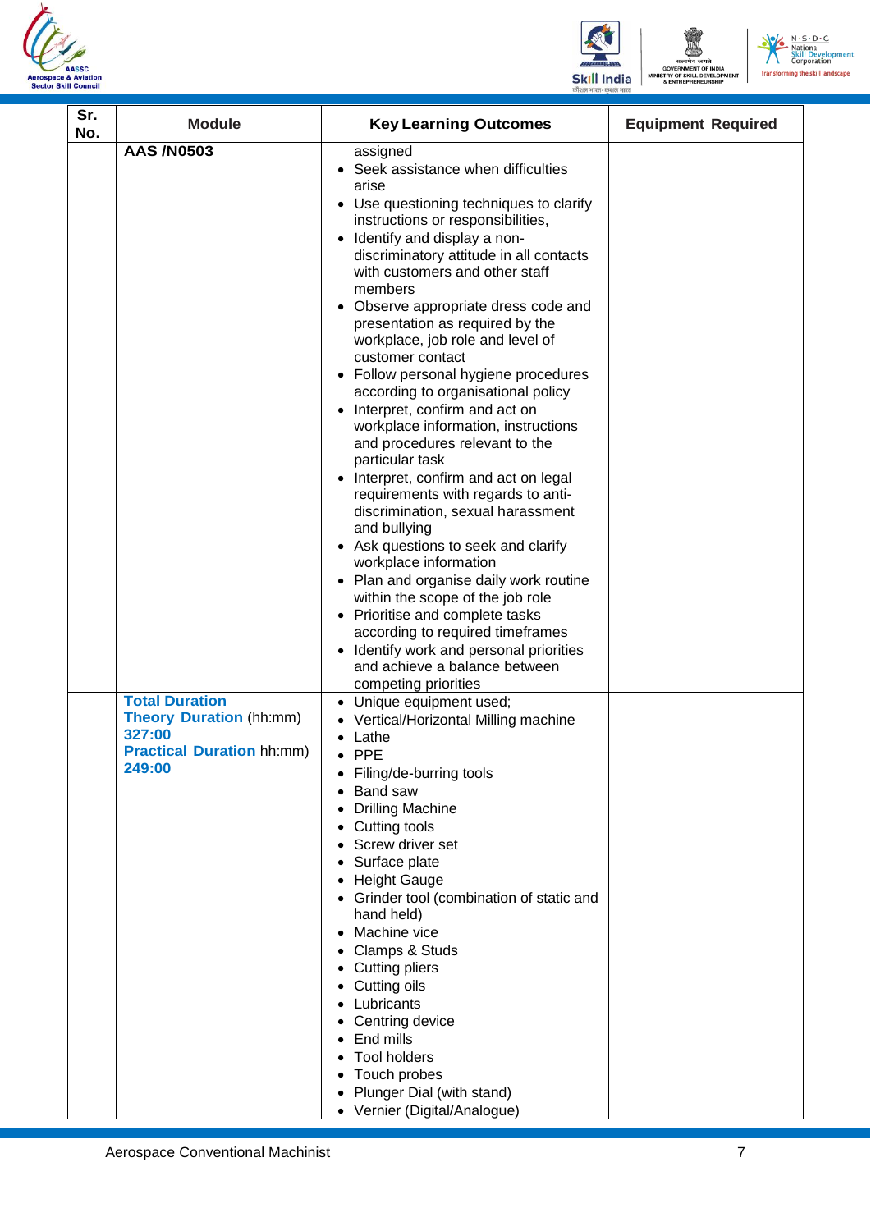





| Sr.<br>No. | <b>Module</b>                                                                                                   | <b>Key Learning Outcomes</b>                                                                                                                                                                                                                                                                                                                                                                                                                                                                                                                                                                                                                                                                                                                                                                                                                                                                                                                                                                                                                     | <b>Equipment Required</b> |
|------------|-----------------------------------------------------------------------------------------------------------------|--------------------------------------------------------------------------------------------------------------------------------------------------------------------------------------------------------------------------------------------------------------------------------------------------------------------------------------------------------------------------------------------------------------------------------------------------------------------------------------------------------------------------------------------------------------------------------------------------------------------------------------------------------------------------------------------------------------------------------------------------------------------------------------------------------------------------------------------------------------------------------------------------------------------------------------------------------------------------------------------------------------------------------------------------|---------------------------|
|            | <b>AAS/N0503</b>                                                                                                | assigned<br>• Seek assistance when difficulties<br>arise<br>• Use questioning techniques to clarify<br>instructions or responsibilities,<br>• Identify and display a non-<br>discriminatory attitude in all contacts<br>with customers and other staff<br>members<br>Observe appropriate dress code and<br>presentation as required by the<br>workplace, job role and level of<br>customer contact<br>• Follow personal hygiene procedures<br>according to organisational policy<br>Interpret, confirm and act on<br>workplace information, instructions<br>and procedures relevant to the<br>particular task<br>• Interpret, confirm and act on legal<br>requirements with regards to anti-<br>discrimination, sexual harassment<br>and bullying<br>• Ask questions to seek and clarify<br>workplace information<br>• Plan and organise daily work routine<br>within the scope of the job role<br>• Prioritise and complete tasks<br>according to required timeframes<br>Identify work and personal priorities<br>and achieve a balance between |                           |
|            | <b>Total Duration</b><br><b>Theory Duration (hh:mm)</b><br>327:00<br><b>Practical Duration hh:mm)</b><br>249:00 | competing priorities<br>Unique equipment used;<br>• Vertical/Horizontal Milling machine<br>Lathe<br>$\bullet$ PPE<br>Filing/de-burring tools<br>Band saw<br><b>Drilling Machine</b><br>Cutting tools<br>Screw driver set<br>Surface plate<br><b>Height Gauge</b><br>Grinder tool (combination of static and<br>hand held)<br>Machine vice<br>Clamps & Studs<br>Cutting pliers<br>Cutting oils<br>Lubricants<br>Centring device<br>End mills<br><b>Tool holders</b><br>Touch probes<br>Plunger Dial (with stand)<br>Vernier (Digital/Analogue)                                                                                                                                                                                                                                                                                                                                                                                                                                                                                                    |                           |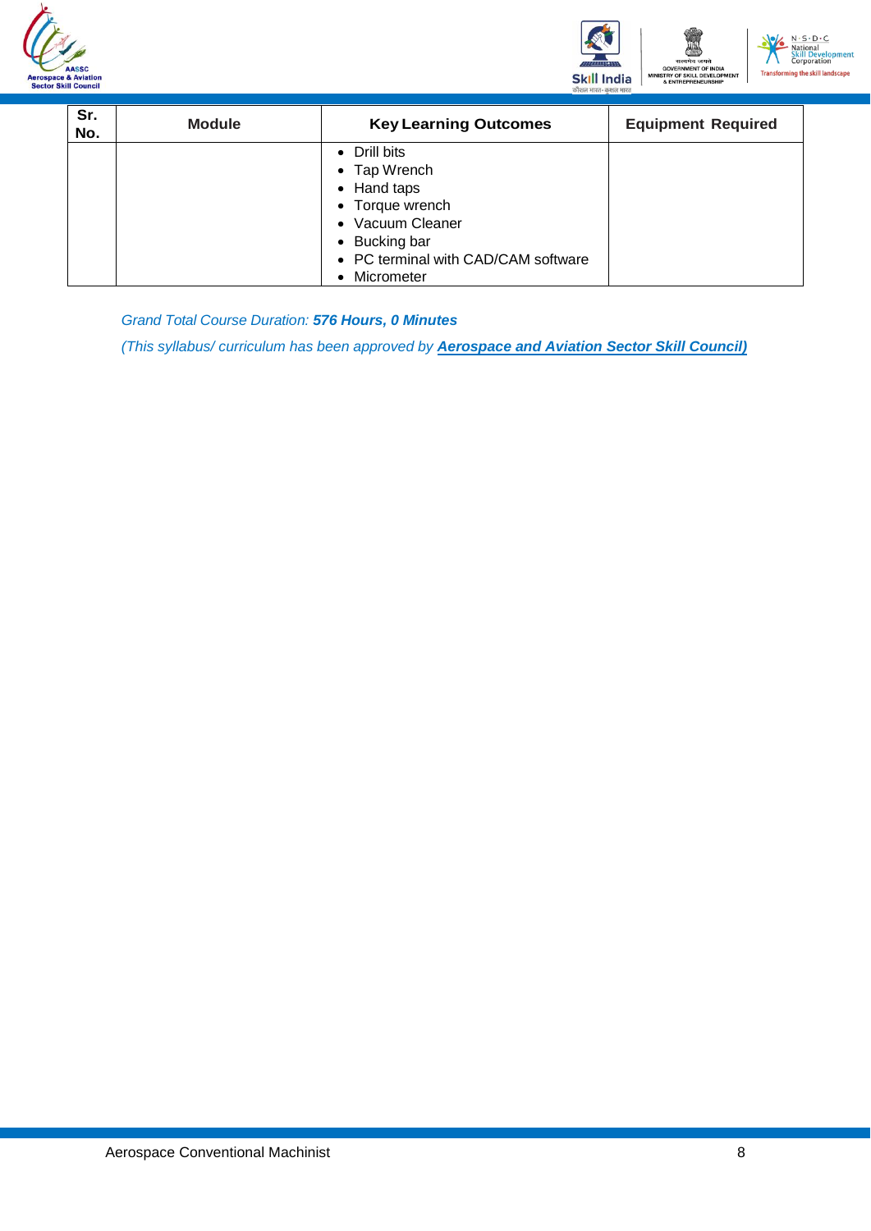





| Sr.<br>No. | <b>Module</b> | <b>Key Learning Outcomes</b>        | <b>Equipment Required</b> |
|------------|---------------|-------------------------------------|---------------------------|
|            |               | • Drill bits                        |                           |
|            |               | • Tap Wrench                        |                           |
|            |               | • Hand taps                         |                           |
|            |               | • Torque wrench                     |                           |
|            |               | • Vacuum Cleaner                    |                           |
|            |               | • Bucking bar                       |                           |
|            |               | • PC terminal with CAD/CAM software |                           |
|            |               | Micrometer                          |                           |

*Grand Total Course Duration: 576 Hours, 0 Minutes*

*(This syllabus/ curriculum has been approved by Aerospace and Aviation Sector Skill Council)*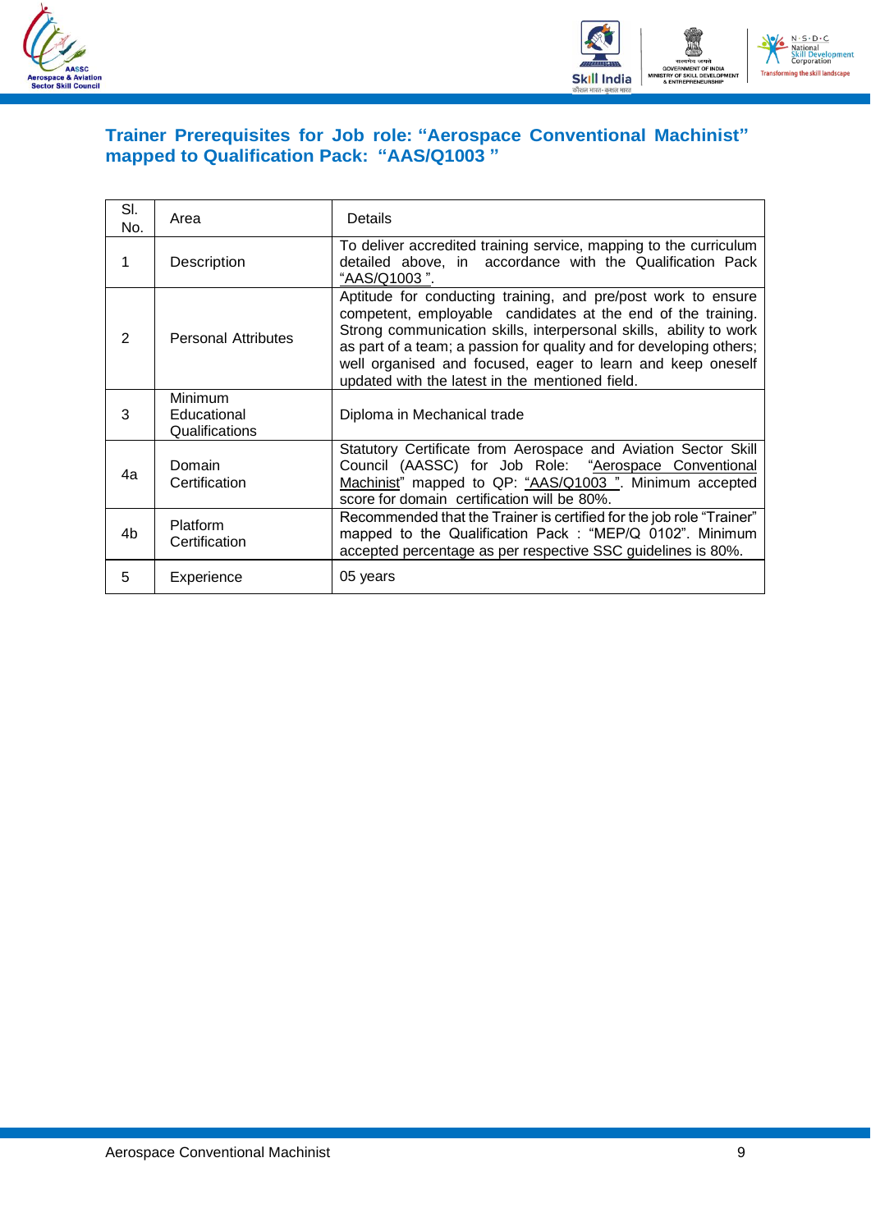



### <span id="page-11-0"></span>**Trainer Prerequisites for Job role: "Aerospace Conventional Machinist" mapped to Qualification Pack: "AAS/Q1003 "**

| SI.<br>No. | Area                                     | <b>Details</b>                                                                                                                                                                                                                                                                                                                                                                               |
|------------|------------------------------------------|----------------------------------------------------------------------------------------------------------------------------------------------------------------------------------------------------------------------------------------------------------------------------------------------------------------------------------------------------------------------------------------------|
|            | Description                              | To deliver accredited training service, mapping to the curriculum<br>detailed above, in accordance with the Qualification Pack<br>"AAS/Q1003".                                                                                                                                                                                                                                               |
| 2          | <b>Personal Attributes</b>               | Aptitude for conducting training, and pre/post work to ensure<br>competent, employable candidates at the end of the training.<br>Strong communication skills, interpersonal skills, ability to work<br>as part of a team; a passion for quality and for developing others;<br>well organised and focused, eager to learn and keep oneself<br>updated with the latest in the mentioned field. |
| 3          | Minimum<br>Educational<br>Qualifications | Diploma in Mechanical trade                                                                                                                                                                                                                                                                                                                                                                  |
| 4a         | Domain<br>Certification                  | Statutory Certificate from Aerospace and Aviation Sector Skill<br>Council (AASSC) for Job Role: "Aerospace Conventional<br>Machinist" mapped to QP: "AAS/Q1003". Minimum accepted<br>score for domain certification will be 80%.                                                                                                                                                             |
| 4b         | <b>Platform</b><br>Certification         | Recommended that the Trainer is certified for the job role "Trainer"<br>mapped to the Qualification Pack : "MEP/Q 0102". Minimum<br>accepted percentage as per respective SSC guidelines is 80%.                                                                                                                                                                                             |
| 5          | Experience                               | 05 years                                                                                                                                                                                                                                                                                                                                                                                     |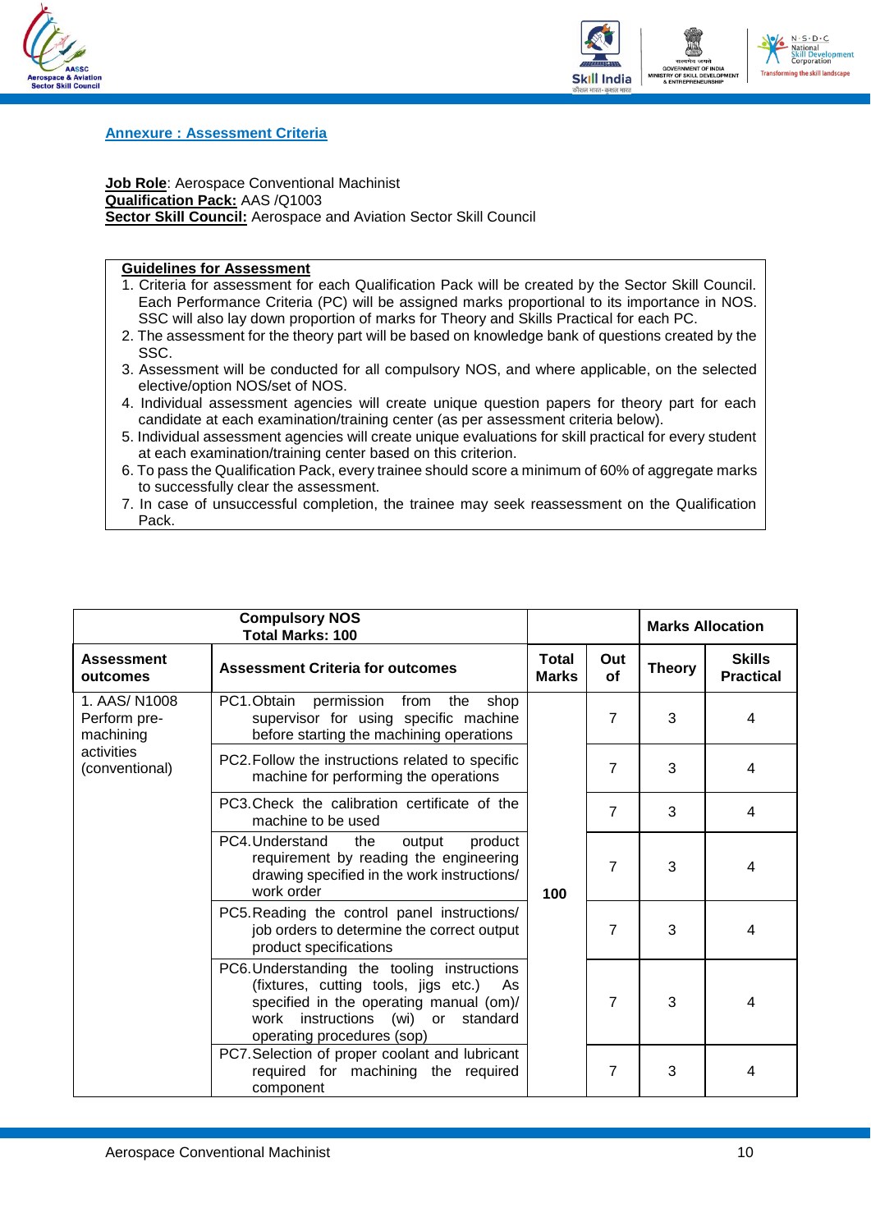



#### <span id="page-12-0"></span>**Annexure : Assessment Criteria**

**Job Role**: Aerospace Conventional Machinist **Qualification Pack:** AAS /Q1003 **Sector Skill Council:** Aerospace and Aviation Sector Skill Council

#### **Guidelines for Assessment**

- 1. Criteria for assessment for each Qualification Pack will be created by the Sector Skill Council. Each Performance Criteria (PC) will be assigned marks proportional to its importance in NOS. SSC will also lay down proportion of marks for Theory and Skills Practical for each PC.
- 2. The assessment for the theory part will be based on knowledge bank of questions created by the SSC.
- 3. Assessment will be conducted for all compulsory NOS, and where applicable, on the selected elective/option NOS/set of NOS.
- 4. Individual assessment agencies will create unique question papers for theory part for each candidate at each examination/training center (as per assessment criteria below).
- 5. Individual assessment agencies will create unique evaluations for skill practical for every student at each examination/training center based on this criterion.
- 6. To pass the Qualification Pack, every trainee should score a minimum of 60% of aggregate marks to successfully clear the assessment.
- 7. In case of unsuccessful completion, the trainee may seek reassessment on the Qualification Pack.

|                                           | <b>Compulsory NOS</b><br><b>Total Marks: 100</b>                                                                                                                                                         |                              |                | <b>Marks Allocation</b> |                                   |
|-------------------------------------------|----------------------------------------------------------------------------------------------------------------------------------------------------------------------------------------------------------|------------------------------|----------------|-------------------------|-----------------------------------|
| <b>Assessment</b><br>outcomes             | <b>Assessment Criteria for outcomes</b>                                                                                                                                                                  | <b>Total</b><br><b>Marks</b> | Out<br>of      | <b>Theory</b>           | <b>Skills</b><br><b>Practical</b> |
| 1. AAS/N1008<br>Perform pre-<br>machining | PC1.Obtain<br>permission<br>the<br>from<br>shop<br>supervisor for using specific machine<br>before starting the machining operations                                                                     |                              | $\overline{7}$ | 3                       | 4                                 |
| activities<br>(conventional)              | PC2. Follow the instructions related to specific<br>machine for performing the operations                                                                                                                |                              | $\overline{7}$ | 3                       | 4                                 |
|                                           | PC3. Check the calibration certificate of the<br>machine to be used                                                                                                                                      |                              | $\overline{7}$ | 3                       | 4                                 |
|                                           | PC4.Understand<br>the<br>output<br>product<br>requirement by reading the engineering<br>drawing specified in the work instructions/<br>work order                                                        | 100                          | $\overline{7}$ | 3                       | 4                                 |
|                                           | PC5. Reading the control panel instructions/<br>job orders to determine the correct output<br>product specifications                                                                                     |                              | 7              | 3                       | 4                                 |
|                                           | PC6. Understanding the tooling instructions<br>(fixtures, cutting tools, jigs etc.)<br>As<br>specified in the operating manual (om)/<br>work instructions (wi) or standard<br>operating procedures (sop) |                              | $\overline{7}$ | 3                       | 4                                 |
|                                           | PC7. Selection of proper coolant and lubricant<br>required for machining the required<br>component                                                                                                       |                              | 7              | 3                       | 4                                 |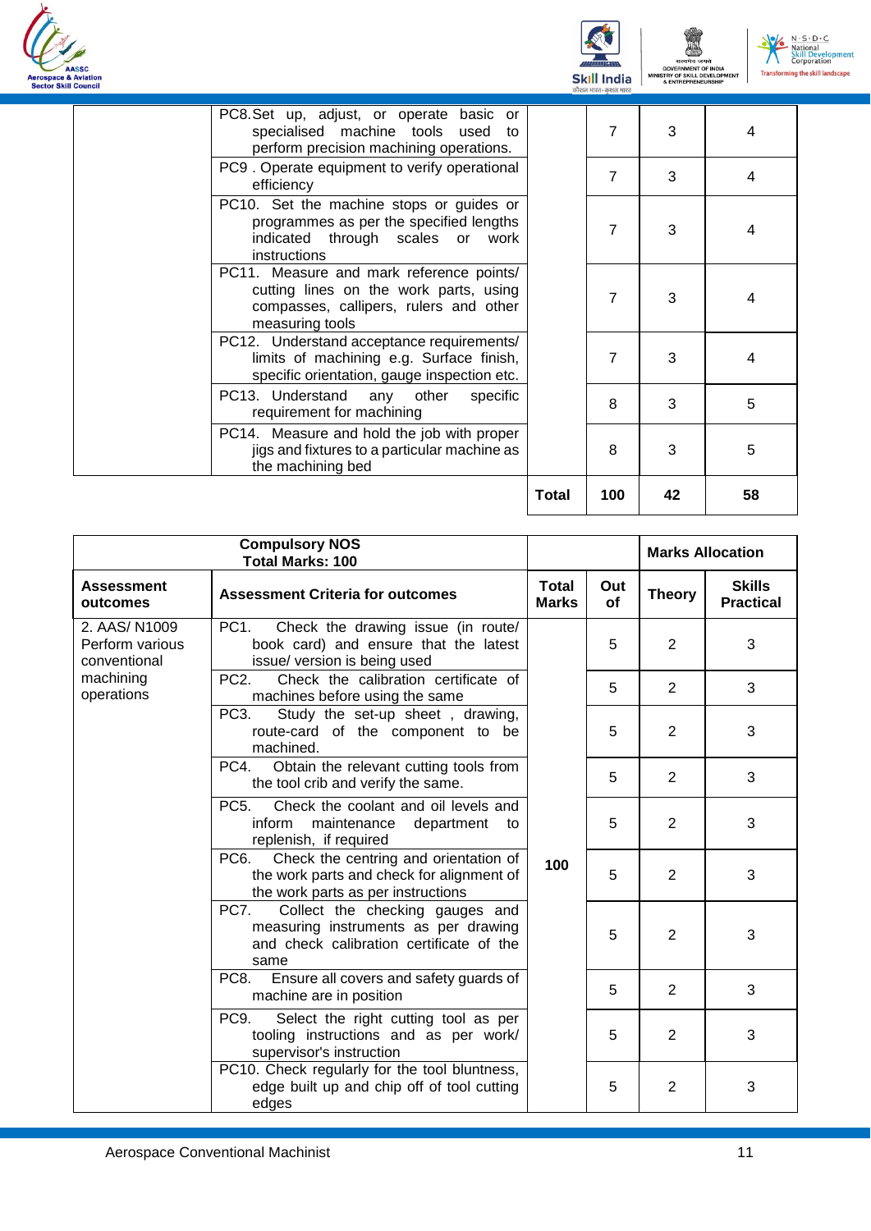





|                                                                                                                                                 | <b>Total</b> | 100            | 42 | 58 |
|-------------------------------------------------------------------------------------------------------------------------------------------------|--------------|----------------|----|----|
| PC14. Measure and hold the job with proper<br>jigs and fixtures to a particular machine as<br>the machining bed                                 |              | 8              | 3  | 5  |
| PC13. Understand any other<br>specific<br>requirement for machining                                                                             |              | 8              | 3  | 5  |
| PC12. Understand acceptance requirements/<br>limits of machining e.g. Surface finish,<br>specific orientation, gauge inspection etc.            |              | 7              | 3  | 4  |
| PC11. Measure and mark reference points/<br>cutting lines on the work parts, using<br>compasses, callipers, rulers and other<br>measuring tools |              | 7              | 3  | 4  |
| PC10. Set the machine stops or guides or<br>programmes as per the specified lengths<br>indicated through scales or work<br><i>instructions</i>  |              | 7              | 3  | 4  |
| PC9. Operate equipment to verify operational<br>efficiency                                                                                      |              | $\overline{7}$ | 3  | 4  |
| PC8.Set up, adjust, or operate basic or<br>specialised machine tools used to<br>perform precision machining operations.                         |              | 7              | 3  | 4  |

| <b>Compulsory NOS</b><br><b>Total Marks: 100</b> |                                                                                                                                               |                              |           |                | <b>Marks Allocation</b>           |
|--------------------------------------------------|-----------------------------------------------------------------------------------------------------------------------------------------------|------------------------------|-----------|----------------|-----------------------------------|
| <b>Assessment</b><br>outcomes                    | <b>Assessment Criteria for outcomes</b>                                                                                                       | <b>Total</b><br><b>Marks</b> | Out<br>of | <b>Theory</b>  | <b>Skills</b><br><b>Practical</b> |
| 2. AAS/N1009<br>Perform various<br>conventional  | PC <sub>1</sub> .<br>Check the drawing issue (in route/<br>book card) and ensure that the latest<br>issue/ version is being used              |                              | 5         | $\mathbf{2}$   | 3                                 |
| machining<br>operations                          | PC <sub>2</sub> .<br>Check the calibration certificate of<br>machines before using the same                                                   |                              | 5         | 2              | 3                                 |
|                                                  | PC3.<br>Study the set-up sheet, drawing,<br>route-card of the component to be<br>machined.                                                    |                              | 5         | $\overline{2}$ | 3                                 |
|                                                  | Obtain the relevant cutting tools from<br>PC4.<br>the tool crib and verify the same.                                                          | 100                          | 5         | $\overline{2}$ | 3                                 |
|                                                  | <b>PC5.</b><br>Check the coolant and oil levels and<br>inform<br>maintenance<br>department<br>to<br>replenish, if required                    |                              | 5         | $\overline{2}$ | 3                                 |
|                                                  | Check the centring and orientation of<br>PC <sub>6</sub> .<br>the work parts and check for alignment of<br>the work parts as per instructions |                              | 5         | 2              | 3                                 |
|                                                  | PC7.<br>Collect the checking gauges and<br>measuring instruments as per drawing<br>and check calibration certificate of the<br>same           |                              | 5         | $\overline{2}$ | 3                                 |
|                                                  | PC8.<br>Ensure all covers and safety guards of<br>machine are in position                                                                     |                              | 5         | 2              | 3                                 |
|                                                  | PC <sub>9</sub> .<br>Select the right cutting tool as per<br>tooling instructions and as per work/<br>supervisor's instruction                |                              | 5         | $\overline{2}$ | 3                                 |
|                                                  | PC10. Check regularly for the tool bluntness,<br>edge built up and chip off of tool cutting<br>edges                                          |                              | 5         | $\overline{2}$ | 3                                 |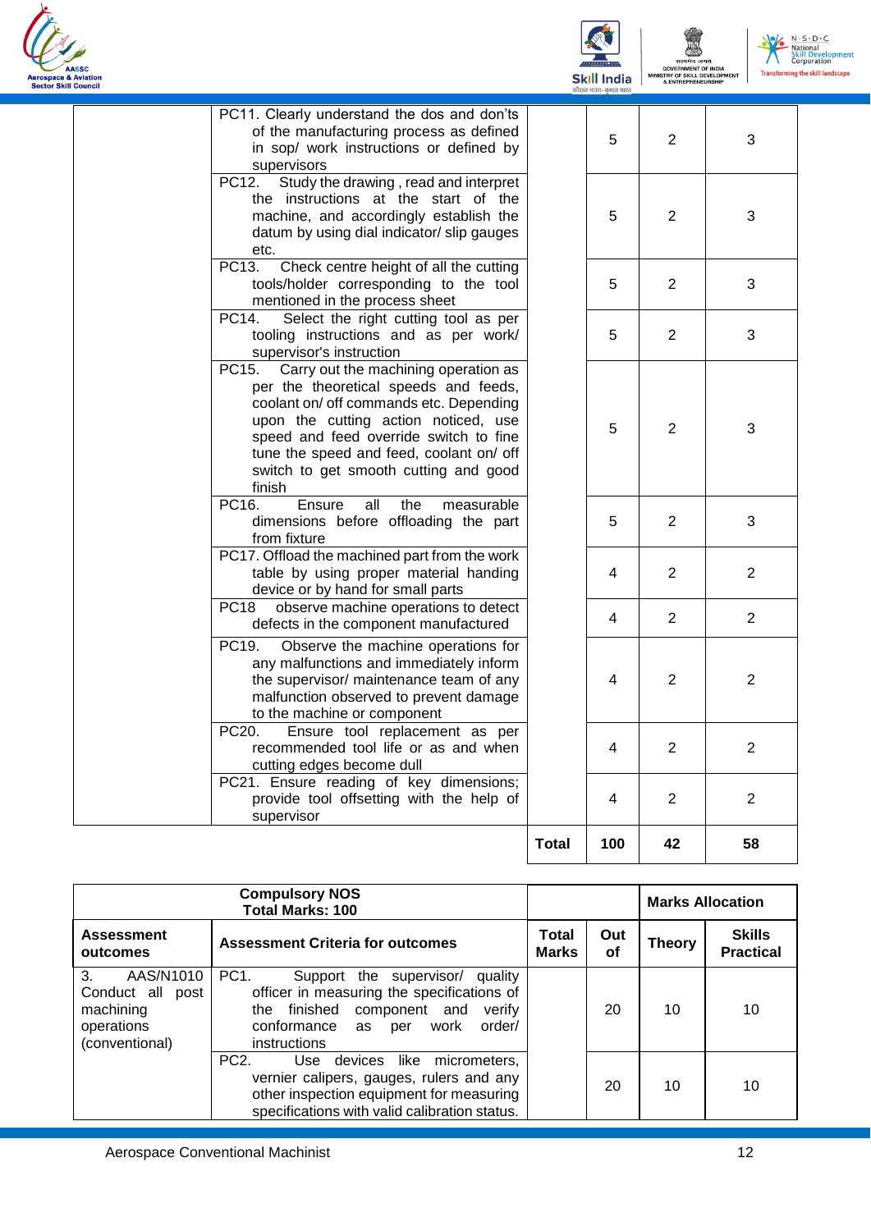



| supervisor                                                                                                                                                                                                                                                                                                         | <b>Total</b> | 100 | 42             | 58             |
|--------------------------------------------------------------------------------------------------------------------------------------------------------------------------------------------------------------------------------------------------------------------------------------------------------------------|--------------|-----|----------------|----------------|
| PC21. Ensure reading of key dimensions;<br>provide tool offsetting with the help of                                                                                                                                                                                                                                |              | 4   | 2              | 2              |
| Ensure tool replacement as per<br>PC20.<br>recommended tool life or as and when<br>cutting edges become dull                                                                                                                                                                                                       |              | 4   | 2              | $\overline{2}$ |
| PC19.<br>Observe the machine operations for<br>any malfunctions and immediately inform<br>the supervisor/ maintenance team of any<br>malfunction observed to prevent damage<br>to the machine or component                                                                                                         |              | 4   | $\overline{2}$ | $\overline{2}$ |
| observe machine operations to detect<br><b>PC18</b><br>defects in the component manufactured                                                                                                                                                                                                                       |              | 4   | 2              | $\overline{2}$ |
| PC17. Offload the machined part from the work<br>table by using proper material handing<br>device or by hand for small parts                                                                                                                                                                                       |              | 4   | 2              | $\overline{2}$ |
| PC16.<br>Ensure<br>the<br>all<br>measurable<br>dimensions before offloading the part<br>from fixture                                                                                                                                                                                                               |              | 5   | 2              | 3              |
| Carry out the machining operation as<br>PC15.<br>per the theoretical speeds and feeds,<br>coolant on/ off commands etc. Depending<br>upon the cutting action noticed, use<br>speed and feed override switch to fine<br>tune the speed and feed, coolant on/ off<br>switch to get smooth cutting and good<br>finish |              | 5   | 2              | 3              |
| Select the right cutting tool as per<br>PC14.<br>tooling instructions and as per work/<br>supervisor's instruction                                                                                                                                                                                                 |              | 5   | 2              | 3              |
| PC13.<br>Check centre height of all the cutting<br>tools/holder corresponding to the tool<br>mentioned in the process sheet                                                                                                                                                                                        |              | 5   | 2              | 3              |
| Study the drawing, read and interpret<br>PC12.<br>the instructions at the start of the<br>machine, and accordingly establish the<br>datum by using dial indicator/ slip gauges<br>etc.                                                                                                                             |              | 5   | $\overline{2}$ | 3              |
| PC11. Clearly understand the dos and don'ts<br>of the manufacturing process as defined<br>in sop/ work instructions or defined by<br>supervisors                                                                                                                                                                   |              | 5   | 2              | 3              |

| <b>Compulsory NOS</b><br><b>Total Marks: 100</b>                                    |                                                                                                                                                                                                           |                       |           |               | <b>Marks Allocation</b>           |
|-------------------------------------------------------------------------------------|-----------------------------------------------------------------------------------------------------------------------------------------------------------------------------------------------------------|-----------------------|-----------|---------------|-----------------------------------|
| <b>Assessment</b><br>outcomes                                                       | <b>Assessment Criteria for outcomes</b>                                                                                                                                                                   | Total<br><b>Marks</b> | Out<br>οf | <b>Theory</b> | <b>Skills</b><br><b>Practical</b> |
| 3.<br>AAS/N1010<br>Conduct all<br>post<br>machining<br>operations<br>(conventional) | PC <sub>1</sub><br>Support the supervisor/<br>quality<br>officer in measuring the specifications of<br>the finished<br>component and<br>verify<br>conformance as<br>order/<br>work<br>per<br>instructions |                       | 20        | 10            | 10                                |
|                                                                                     | PC <sub>2</sub> .<br>Use devices like<br>micrometers.<br>vernier calipers, gauges, rulers and any<br>other inspection equipment for measuring<br>specifications with valid calibration status.            |                       | 20        | 10            | 10                                |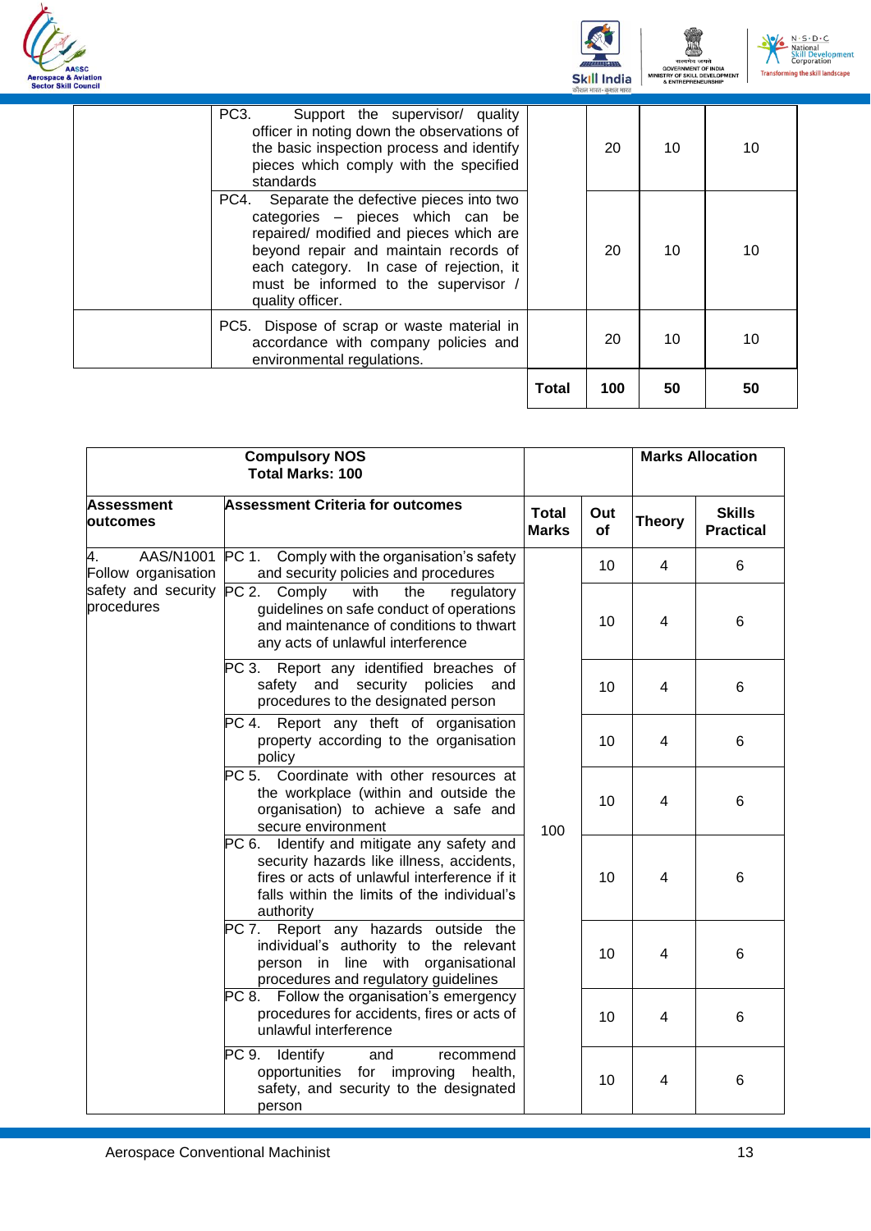



| PC3.<br>Support the supervisor/ quality<br>officer in noting down the observations of<br>the basic inspection process and identify<br>pieces which comply with the specified<br>standards                                                                                  |       | 20  | 10 | 10 |
|----------------------------------------------------------------------------------------------------------------------------------------------------------------------------------------------------------------------------------------------------------------------------|-------|-----|----|----|
| PC4. Separate the defective pieces into two<br>categories - pieces which can be<br>repaired/ modified and pieces which are<br>beyond repair and maintain records of<br>each category. In case of rejection, it<br>must be informed to the supervisor /<br>quality officer. |       | 20  | 10 | 10 |
| PC5. Dispose of scrap or waste material in<br>accordance with company policies and<br>environmental regulations.                                                                                                                                                           |       | 20  | 10 | 10 |
|                                                                                                                                                                                                                                                                            | Total | 100 | 50 | 50 |

| <b>Compulsory NOS</b><br><b>Total Marks: 100</b> |                                                                                                                                                                                                        |                              |                  |                | <b>Marks Allocation</b>           |
|--------------------------------------------------|--------------------------------------------------------------------------------------------------------------------------------------------------------------------------------------------------------|------------------------------|------------------|----------------|-----------------------------------|
| <b>Assessment</b><br>outcomes                    | <b>Assessment Criteria for outcomes</b>                                                                                                                                                                | <b>Total</b><br><b>Marks</b> | Out<br><b>of</b> | <b>Theory</b>  | <b>Skills</b><br><b>Practical</b> |
| AAS/N1001<br>4.<br>Follow organisation           | PC 1.<br>Comply with the organisation's safety<br>and security policies and procedures                                                                                                                 |                              | 10               | 4              | 6                                 |
| safety and security<br>procedures                | PC 2.<br>Comply<br>with<br>the<br>regulatory<br>guidelines on safe conduct of operations<br>and maintenance of conditions to thwart<br>any acts of unlawful interference                               |                              | 10               | $\overline{4}$ | 6                                 |
|                                                  | PC 3.<br>Report any identified breaches of<br>safety and security policies<br>and<br>procedures to the designated person                                                                               |                              | 10               | 4              | 6                                 |
|                                                  | PC 4. Report any theft of organisation<br>property according to the organisation<br>policy                                                                                                             | 100                          | 10               | 4              | 6                                 |
|                                                  | PC <sub>5</sub><br>Coordinate with other resources at<br>the workplace (within and outside the<br>organisation) to achieve a safe and<br>secure environment                                            |                              | 10               | $\overline{4}$ | 6                                 |
|                                                  | Identify and mitigate any safety and<br>PC 6.<br>security hazards like illness, accidents,<br>fires or acts of unlawful interference if it<br>falls within the limits of the individual's<br>authority |                              | 10               | 4              | 6                                 |
|                                                  | PC 7. Report any hazards outside the<br>individual's authority to the relevant<br>person in line with organisational<br>procedures and regulatory guidelines                                           |                              | 10               | 4              | 6                                 |
|                                                  | Follow the organisation's emergency<br>PC 8.<br>procedures for accidents, fires or acts of<br>unlawful interference                                                                                    |                              | 10               | 4              | 6                                 |
|                                                  | PC 9.<br>Identify<br>recommend<br>and<br>opportunities for improving health,<br>safety, and security to the designated<br>person                                                                       |                              | 10               | $\overline{4}$ | 6                                 |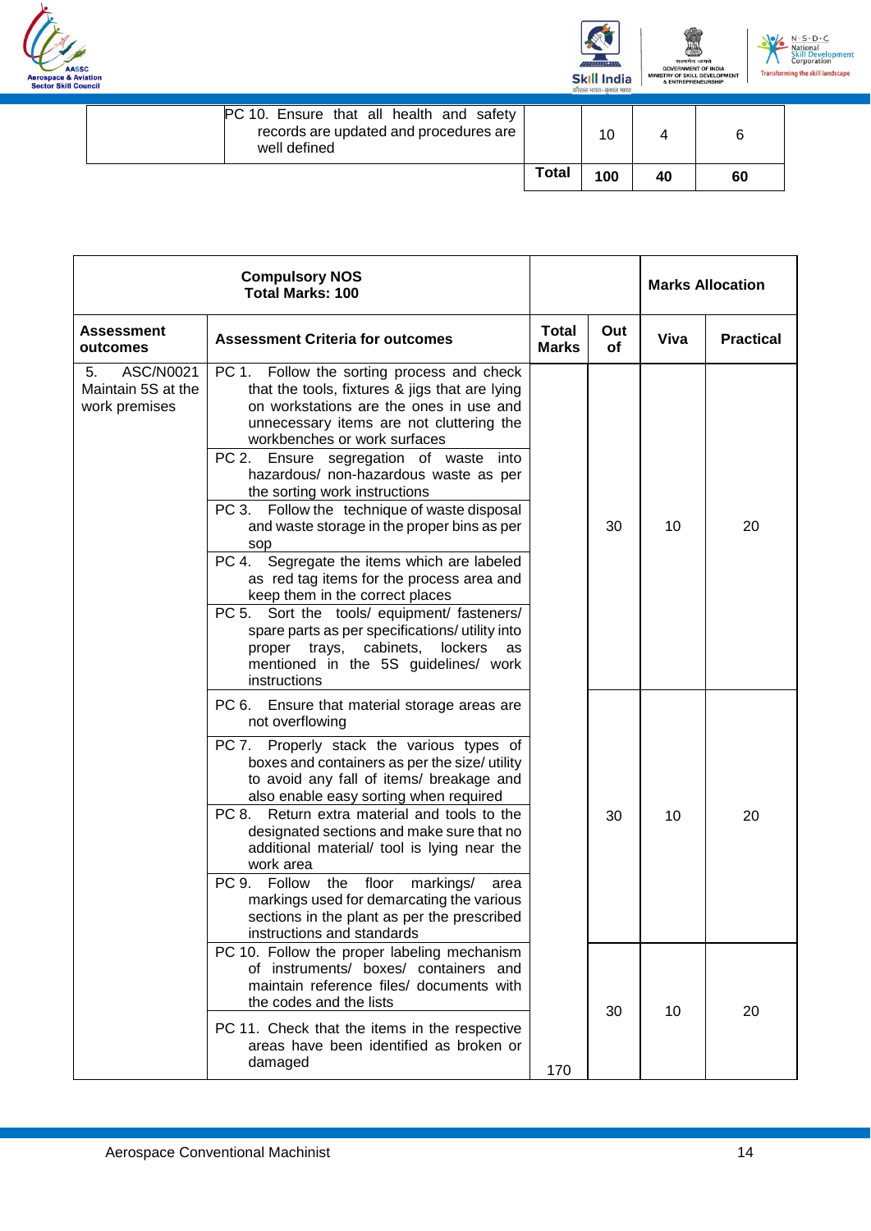





| PC 10. Ensure that all health and safety<br>records are updated and procedures are<br>well defined |              | 10  |    | 6  |
|----------------------------------------------------------------------------------------------------|--------------|-----|----|----|
|                                                                                                    | <b>Total</b> | 100 | 40 | 60 |

| <b>Compulsory NOS</b><br><b>Total Marks: 100</b>       |                                                                                                                                                                                                                                                                                                                                                                                                                                                                                                                                                                                                                                                                                                                                                                                          |                              |                  |      | <b>Marks Allocation</b> |
|--------------------------------------------------------|------------------------------------------------------------------------------------------------------------------------------------------------------------------------------------------------------------------------------------------------------------------------------------------------------------------------------------------------------------------------------------------------------------------------------------------------------------------------------------------------------------------------------------------------------------------------------------------------------------------------------------------------------------------------------------------------------------------------------------------------------------------------------------------|------------------------------|------------------|------|-------------------------|
| Assessment<br>outcomes                                 | <b>Assessment Criteria for outcomes</b>                                                                                                                                                                                                                                                                                                                                                                                                                                                                                                                                                                                                                                                                                                                                                  | <b>Total</b><br><b>Marks</b> | Out<br><b>of</b> | Viva | <b>Practical</b>        |
| ASC/N0021<br>5.<br>Maintain 5S at the<br>work premises | PC 1. Follow the sorting process and check<br>that the tools, fixtures & jigs that are lying<br>on workstations are the ones in use and<br>unnecessary items are not cluttering the<br>workbenches or work surfaces<br>PC 2.<br>Ensure segregation of waste into<br>hazardous/ non-hazardous waste as per<br>the sorting work instructions<br>PC 3. Follow the technique of waste disposal<br>and waste storage in the proper bins as per<br>sop<br>PC 4.<br>Segregate the items which are labeled<br>as red tag items for the process area and<br>keep them in the correct places<br>PC 5. Sort the tools/ equipment/ fasteners/<br>spare parts as per specifications/ utility into<br>proper trays, cabinets,<br>lockers<br>as<br>mentioned in the 5S guidelines/ work<br>instructions |                              | 30               | 10   | 20                      |
|                                                        | PC 6. Ensure that material storage areas are<br>not overflowing<br>PC 7. Properly stack the various types of<br>boxes and containers as per the size/ utility<br>to avoid any fall of items/ breakage and<br>also enable easy sorting when required<br>Return extra material and tools to the<br>PC 8.<br>designated sections and make sure that no<br>additional material/ tool is lying near the<br>work area<br>PC 9.<br>floor<br>Follow<br>the<br>markings/<br>area<br>markings used for demarcating the various<br>sections in the plant as per the prescribed<br>instructions and standards                                                                                                                                                                                        |                              | 30               | 10   | 20                      |
|                                                        | PC 10. Follow the proper labeling mechanism<br>of instruments/ boxes/ containers and<br>maintain reference files/ documents with<br>the codes and the lists<br>PC 11. Check that the items in the respective<br>areas have been identified as broken or<br>damaged                                                                                                                                                                                                                                                                                                                                                                                                                                                                                                                       | 170                          | 30               | 10   | 20                      |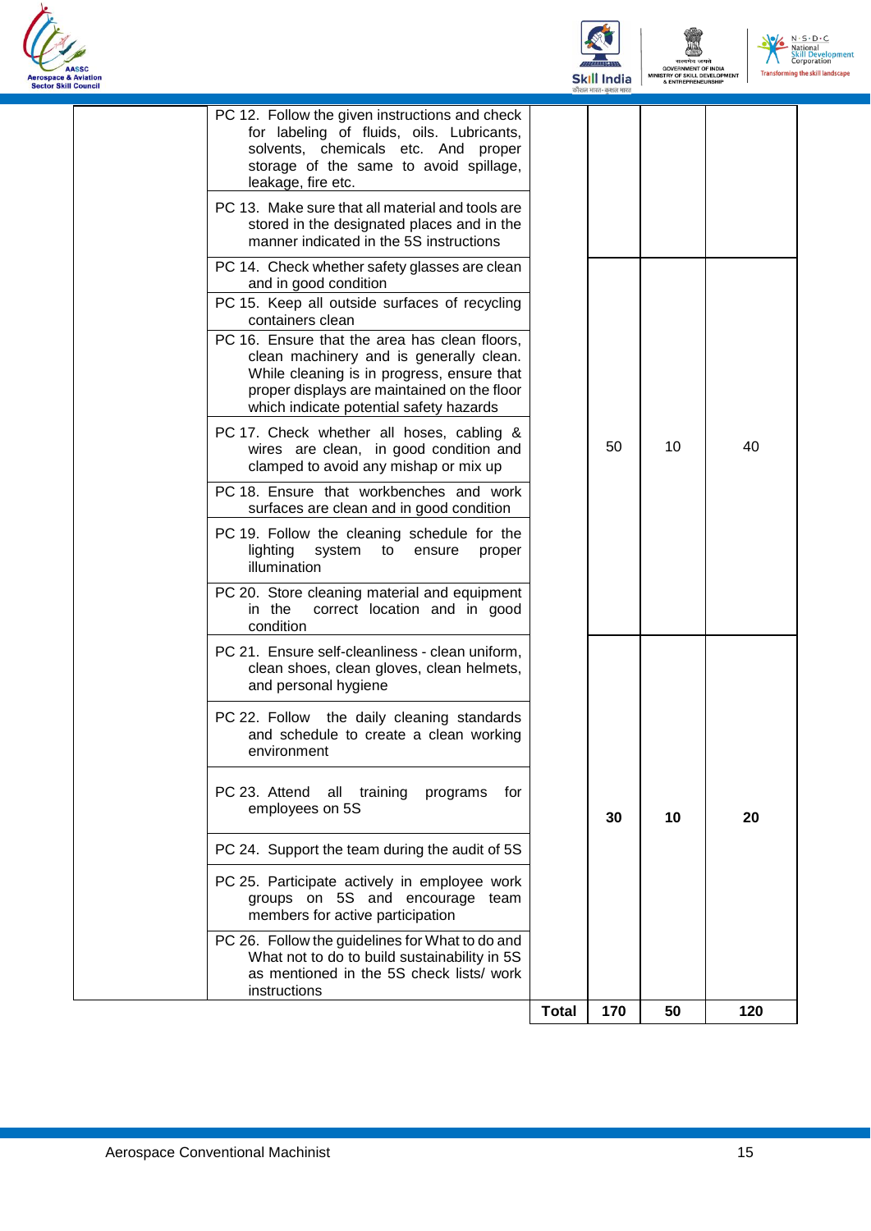



|                                                                                                                                                                                                                                  | <b>Total</b> | 170 | 50 | 120 |
|----------------------------------------------------------------------------------------------------------------------------------------------------------------------------------------------------------------------------------|--------------|-----|----|-----|
| PC 26. Follow the guidelines for What to do and<br>What not to do to build sustainability in 5S<br>as mentioned in the 5S check lists/ work<br>instructions                                                                      |              |     |    |     |
| PC 25. Participate actively in employee work<br>groups on 5S and encourage team<br>members for active participation                                                                                                              |              |     |    |     |
| PC 24. Support the team during the audit of 5S                                                                                                                                                                                   |              |     |    |     |
| PC 23. Attend<br>all<br>training<br>programs<br>for<br>employees on 5S                                                                                                                                                           |              | 30  | 10 | 20  |
| PC 22. Follow the daily cleaning standards<br>and schedule to create a clean working<br>environment                                                                                                                              |              |     |    |     |
| PC 21. Ensure self-cleanliness - clean uniform,<br>clean shoes, clean gloves, clean helmets,<br>and personal hygiene                                                                                                             |              |     |    |     |
| PC 20. Store cleaning material and equipment<br>correct location and in good<br>in the<br>condition                                                                                                                              |              |     |    |     |
| PC 19. Follow the cleaning schedule for the<br>lighting<br>system to<br>ensure<br>proper<br>illumination                                                                                                                         |              |     |    |     |
| PC 18. Ensure that workbenches and work<br>surfaces are clean and in good condition                                                                                                                                              |              |     |    |     |
| PC 17. Check whether all hoses, cabling &<br>wires are clean, in good condition and<br>clamped to avoid any mishap or mix up                                                                                                     |              | 50  | 10 | 40  |
| PC 16. Ensure that the area has clean floors,<br>clean machinery and is generally clean.<br>While cleaning is in progress, ensure that<br>proper displays are maintained on the floor<br>which indicate potential safety hazards |              |     |    |     |
| PC 15. Keep all outside surfaces of recycling<br>containers clean                                                                                                                                                                |              |     |    |     |
| PC 14. Check whether safety glasses are clean<br>and in good condition                                                                                                                                                           |              |     |    |     |
| PC 13. Make sure that all material and tools are<br>stored in the designated places and in the<br>manner indicated in the 5S instructions                                                                                        |              |     |    |     |
| PC 12. Follow the given instructions and check<br>for labeling of fluids, oils. Lubricants,<br>solvents, chemicals etc. And proper<br>storage of the same to avoid spillage,<br>leakage, fire etc.                               |              |     |    |     |